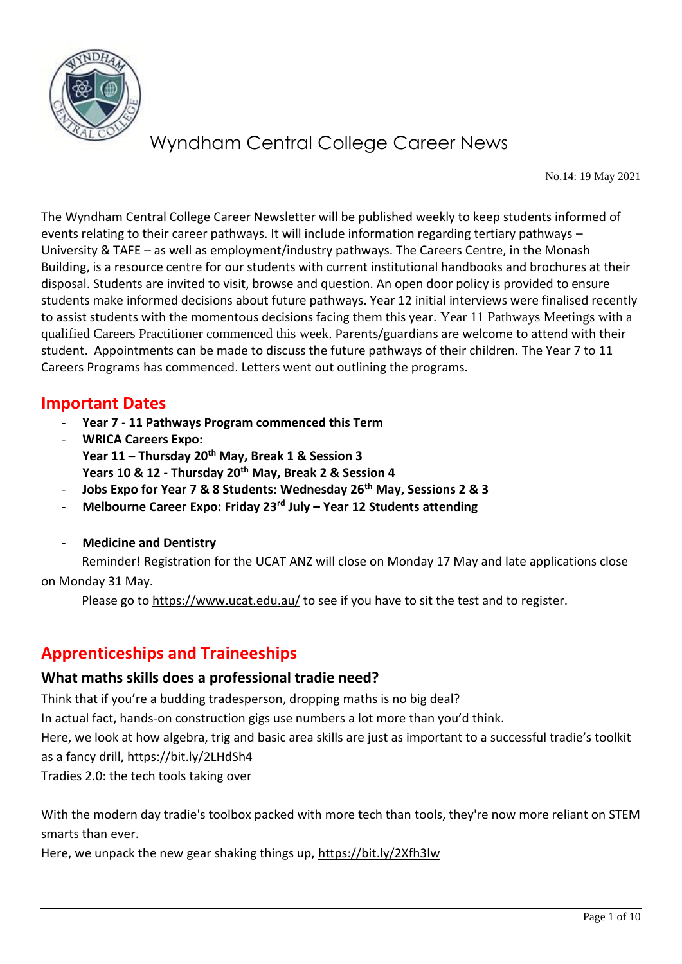

No.14: 19 May 2021

The Wyndham Central College Career Newsletter will be published weekly to keep students informed of events relating to their career pathways. It will include information regarding tertiary pathways – University & TAFE – as well as employment/industry pathways. The Careers Centre, in the Monash Building, is a resource centre for our students with current institutional handbooks and brochures at their disposal. Students are invited to visit, browse and question. An open door policy is provided to ensure students make informed decisions about future pathways. Year 12 initial interviews were finalised recently to assist students with the momentous decisions facing them this year. Year 11 Pathways Meetings with a qualified Careers Practitioner commenced this week. Parents/guardians are welcome to attend with their student. Appointments can be made to discuss the future pathways of their children. The Year 7 to 11 Careers Programs has commenced. Letters went out outlining the programs.

## **Important Dates**

- **Year 7 - 11 Pathways Program commenced this Term**
- **WRICA Careers Expo: Year 11 – Thursday 20th May, Break 1 & Session 3 Years 10 & 12 - Thursday 20th May, Break 2 & Session 4**
- **Jobs Expo for Year 7 & 8 Students: Wednesday 26th May, Sessions 2 & 3**
- **Melbourne Career Expo: Friday 23rd July – Year 12 Students attending**
- **Medicine and Dentistry**

 Reminder! Registration for the UCAT ANZ will close on Monday 17 May and late applications close on Monday 31 May.

Please go to <https://www.ucat.edu.au/> to see if you have to sit the test and to register.

## **Apprenticeships and Traineeships**

#### **What maths skills does a professional tradie need?**

Think that if you're a budding tradesperson, dropping maths is no big deal?

In actual fact, hands-on construction gigs use numbers a lot more than you'd think.

Here, we look at how algebra, trig and basic area skills are just as important to a successful tradie's toolkit as a fancy drill,<https://bit.ly/2LHdSh4>

Tradies 2.0: the tech tools taking over

With the modern day tradie's toolbox packed with more tech than tools, they're now more reliant on STEM smarts than ever.

Here, we unpack the new gear shaking things up,<https://bit.ly/2Xfh3lw>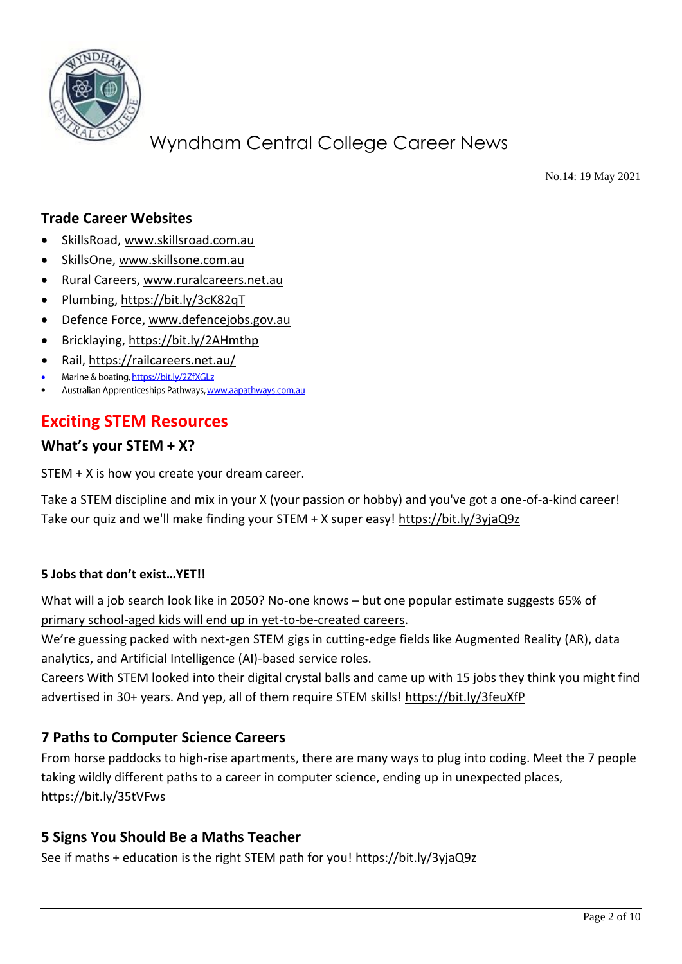

No.14: 19 May 2021

### **Trade Career Websites**

- SkillsRoad, [www.skillsroad.com.au](http://www.skillsroad.com.au/)
- SkillsOne, [www.skillsone.com.au](http://www.skillsone.com.au/)
- Rural Careers, [www.ruralcareers.net.au](http://www.ruralcareers.net.au/)
- Plumbing,<https://bit.ly/3cK82qT>
- Defence Force, [www.defencejobs.gov.au](http://www.defencejobs.gov.au/)
- Bricklaying,<https://bit.ly/2AHmthp>
- Rail,<https://railcareers.net.au/>
- Marine & boating, https://bit.ly/2ZfXGLz •
- Australian Apprenticeships Pathways, www.aapathways.com.au

### **Exciting STEM Resources**

#### **What's your STEM + X?**

STEM + X is how you create your dream career.

Take a STEM discipline and mix in your X (your passion or hobby) and you've got a one-of-a-kind career! Take our quiz and we'll make finding your STEM + X super easy!<https://bit.ly/3yjaQ9z>

#### **5 Jobs that don't exist…YET!!**

What will a job search look like in 2050? No-one knows – but one popular estimate suggests [65% of](https://reports.weforum.org/future-of-jobs-2016/chapter-1-the-future-of-jobs-and-skills/)  [primary school-aged kids will end up in yet-to-be-created careers.](https://reports.weforum.org/future-of-jobs-2016/chapter-1-the-future-of-jobs-and-skills/)

We're guessing packed with next-gen STEM gigs in cutting-edge fields like Augmented Reality (AR), data analytics, and Artificial Intelligence (AI)-based service roles.

Careers With STEM looked into their digital crystal balls and came up with 15 jobs they think you might find advertised in 30+ years. And yep, all of them require STEM skills!<https://bit.ly/3feuXfP>

#### **7 Paths to Computer Science Careers**

From horse paddocks to high-rise apartments, there are many ways to plug into coding. Meet the 7 people taking wildly different paths to a career in computer science, ending up in unexpected places, <https://bit.ly/35tVFws>

#### **5 Signs You Should Be a Maths Teacher**

See if maths + education is the right STEM path for you!<https://bit.ly/3yjaQ9z>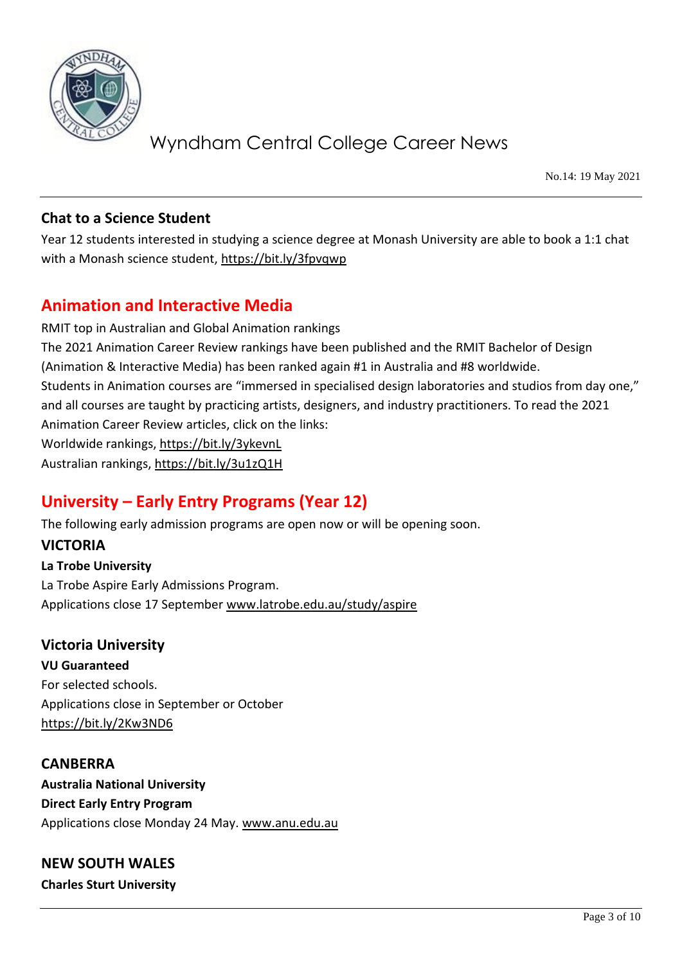

No.14: 19 May 2021

### **Chat to a Science Student**

Year 12 students interested in studying a science degree at Monash University are able to book a 1:1 chat with a Monash science student,<https://bit.ly/3fpvqwp>

## **Animation and Interactive Media**

RMIT top in Australian and Global Animation rankings The 2021 Animation Career Review rankings have been published and the RMIT Bachelor of Design (Animation & Interactive Media) has been ranked again #1 in Australia and #8 worldwide. Students in Animation courses are "immersed in specialised design laboratories and studios from day one," and all courses are taught by practicing artists, designers, and industry practitioners. To read the 2021 Animation Career Review articles, click on the links: Worldwide rankings,<https://bit.ly/3ykevnL> Australian rankings,<https://bit.ly/3u1zQ1H>

## **University – Early Entry Programs (Year 12)**

The following early admission programs are open now or will be opening soon.

### **VICTORIA**

**La Trobe University**  La Trobe Aspire Early Admissions Program. Applications close 17 September [www.latrobe.edu.au/study/aspire](http://www.latrobe.edu.au/study/aspire)

### **Victoria University**

**VU Guaranteed** For selected schools. Applications close in September or October <https://bit.ly/2Kw3ND6>

**CANBERRA Australia National University Direct Early Entry Program**  Applications close Monday 24 May. [www.anu.edu.au](http://www.anu.edu.au/) 

**NEW SOUTH WALES Charles Sturt University**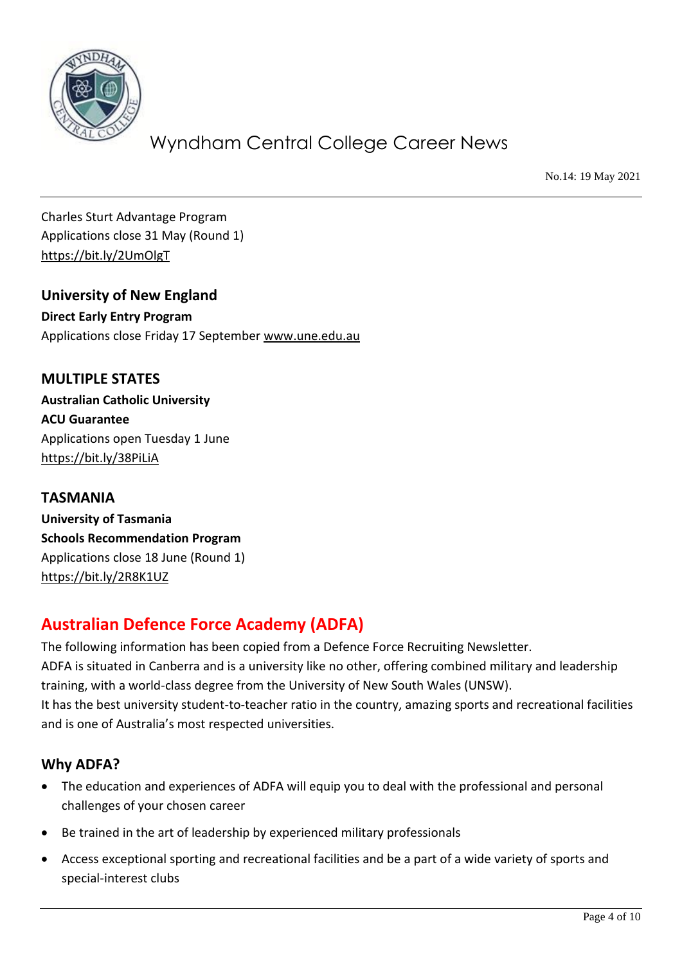

No.14: 19 May 2021

Charles Sturt Advantage Program Applications close 31 May (Round 1) <https://bit.ly/2UmOlgT>

**University of New England Direct Early Entry Program**  Applications close Friday 17 September [www.une.edu.au](http://www.une.edu.au/)

**MULTIPLE STATES Australian Catholic University ACU Guarantee** Applications open Tuesday 1 June <https://bit.ly/38PiLiA>

**TASMANIA University of Tasmania Schools Recommendation Program** Applications close 18 June (Round 1) <https://bit.ly/2R8K1UZ>

## **Australian Defence Force Academy (ADFA)**

The following information has been copied from a Defence Force Recruiting Newsletter. ADFA is situated in Canberra and is a university like no other, offering combined military and leadership training, with a world-class degree from the University of New South Wales (UNSW). It has the best university student-to-teacher ratio in the country, amazing sports and recreational facilities and is one of Australia's most respected universities.

## **Why ADFA?**

- The education and experiences of ADFA will equip you to deal with the professional and personal challenges of your chosen career
- Be trained in the art of leadership by experienced military professionals
- Access exceptional sporting and recreational facilities and be a part of a wide variety of sports and special-interest clubs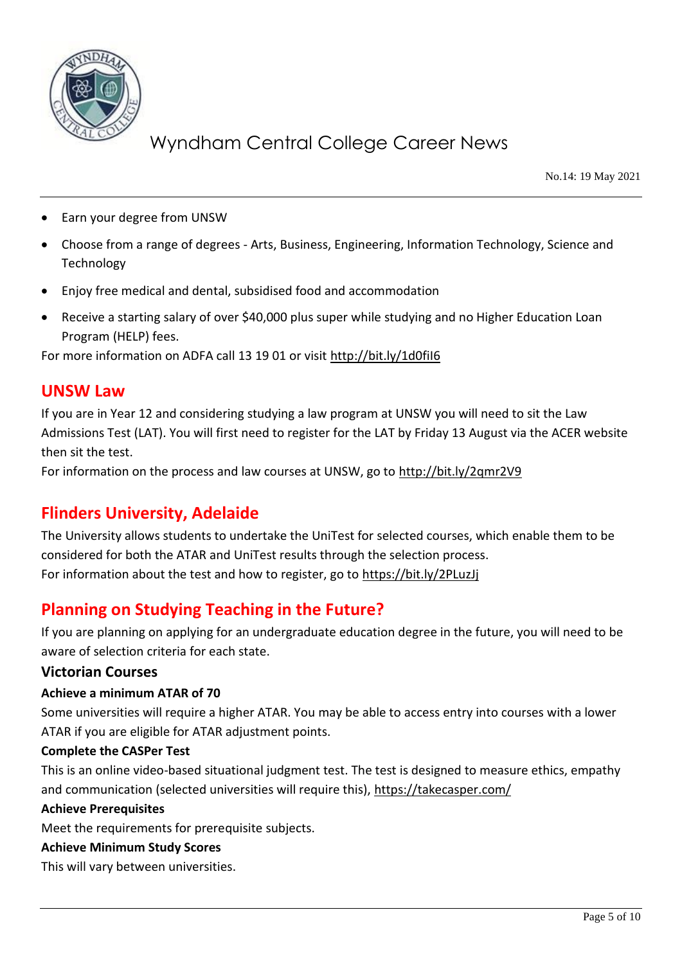

No.14: 19 May 2021

- Earn your degree from UNSW
- Choose from a range of degrees Arts, Business, Engineering, Information Technology, Science and Technology
- Enjoy free medical and dental, subsidised food and accommodation
- Receive a starting salary of over \$40,000 plus super while studying and no Higher Education Loan Program (HELP) fees.

For more information on ADFA call 13 19 01 or visit<http://bit.ly/1d0fiI6>

#### **UNSW Law**

If you are in Year 12 and considering studying a law program at UNSW you will need to sit the Law Admissions Test (LAT). You will first need to register for the LAT by Friday 13 August via the ACER website then sit the test.

For information on the process and law courses at UNSW, go to<http://bit.ly/2qmr2V9>

## **Flinders University, Adelaide**

The University allows students to undertake the UniTest for selected courses, which enable them to be considered for both the ATAR and UniTest results through the selection process. For information about the test and how to register, go to<https://bit.ly/2PLuzJj>

## **Planning on Studying Teaching in the Future?**

If you are planning on applying for an undergraduate education degree in the future, you will need to be aware of selection criteria for each state.

#### **Victorian Courses**

#### **Achieve a minimum ATAR of 70**

Some universities will require a higher ATAR. You may be able to access entry into courses with a lower ATAR if you are eligible for ATAR adjustment points.

#### **Complete the CASPer Test**

This is an online video-based situational judgment test. The test is designed to measure ethics, empathy and communication (selected universities will require this),<https://takecasper.com/>

#### **Achieve Prerequisites**

Meet the requirements for prerequisite subjects.

#### **Achieve Minimum Study Scores**

This will vary between universities.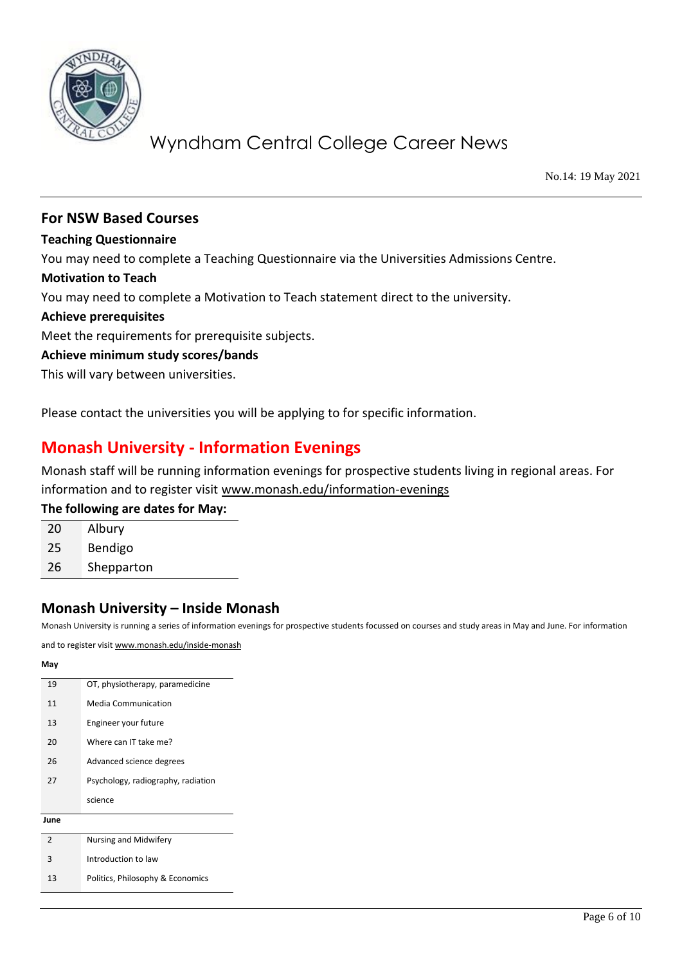

No.14: 19 May 2021

#### **For NSW Based Courses**

**Teaching Questionnaire**

You may need to complete a Teaching Questionnaire via the Universities Admissions Centre.

#### **Motivation to Teach**

You may need to complete a Motivation to Teach statement direct to the university.

#### **Achieve prerequisites**

Meet the requirements for prerequisite subjects.

#### **Achieve minimum study scores/bands**

This will vary between universities.

Please contact the universities you will be applying to for specific information.

## **Monash University - Information Evenings**

Monash staff will be running information evenings for prospective students living in regional areas. For information and to register visit [www.monash.edu/information-evenings](http://www.monash.edu/information-evenings)

#### **The following are dates for May:**

| 20 | Albury     |
|----|------------|
| 25 | Bendigo    |
| 26 | Shepparton |

#### **Monash University – Inside Monash**

Monash University is running a series of information evenings for prospective students focussed on courses and study areas in May and June. For information

and to register visi[t www.monash.edu/inside-monash](http://www.monash.edu/inside-monash)

## **May** 19 OT, physiotherapy, paramedicine 11 Media Communication 13 Engineer your future 20 Where can IT take me? 26 Advanced science degrees 27 Psychology, radiography, radiation science **June** 2 Nursing and Midwifery 3 Introduction to law 13 Politics, Philosophy & Economics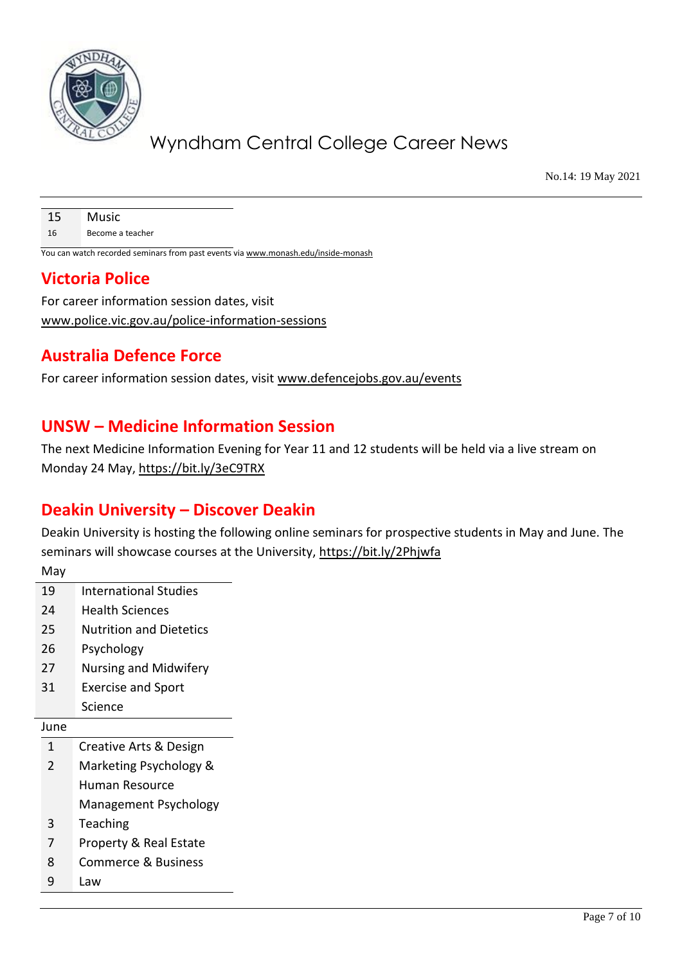

No.14: 19 May 2021

| 15 | Music            |
|----|------------------|
| 16 | Become a teacher |

You can watch recorded seminars from past events vi[a www.monash.edu/inside-monash](http://www.monash.edu/inside-monash)

## **Victoria Police**

For career information session dates, visit [www.police.vic.gov.au/police-information-sessions](http://www.police.vic.gov.au/police-information-sessions)

## **Australia Defence Force**

For career information session dates, visit [www.defencejobs.gov.au/events](http://www.defencejobs.gov.au/events)

## **UNSW – Medicine Information Session**

The next Medicine Information Evening for Year 11 and 12 students will be held via a live stream on Monday 24 May,<https://bit.ly/3eC9TRX>

## **Deakin University – Discover Deakin**

Deakin University is hosting the following online seminars for prospective students in May and June. The seminars will showcase courses at the University,<https://bit.ly/2Phjwfa>

| May            |                                   |  |
|----------------|-----------------------------------|--|
| 19             | International Studies             |  |
| 24             | <b>Health Sciences</b>            |  |
| 25             | <b>Nutrition and Dietetics</b>    |  |
| 26             | Psychology                        |  |
| 27             | Nursing and Midwifery             |  |
| 31             | <b>Exercise and Sport</b>         |  |
|                | Science                           |  |
| June           |                                   |  |
| 1              | Creative Arts & Design            |  |
| $\mathfrak{D}$ | Marketing Psychology &            |  |
|                | Human Resource                    |  |
|                | Management Psychology             |  |
| 3              | Teaching                          |  |
| 7              | <b>Property &amp; Real Estate</b> |  |
| 8              | <b>Commerce &amp; Business</b>    |  |
| q              | Law                               |  |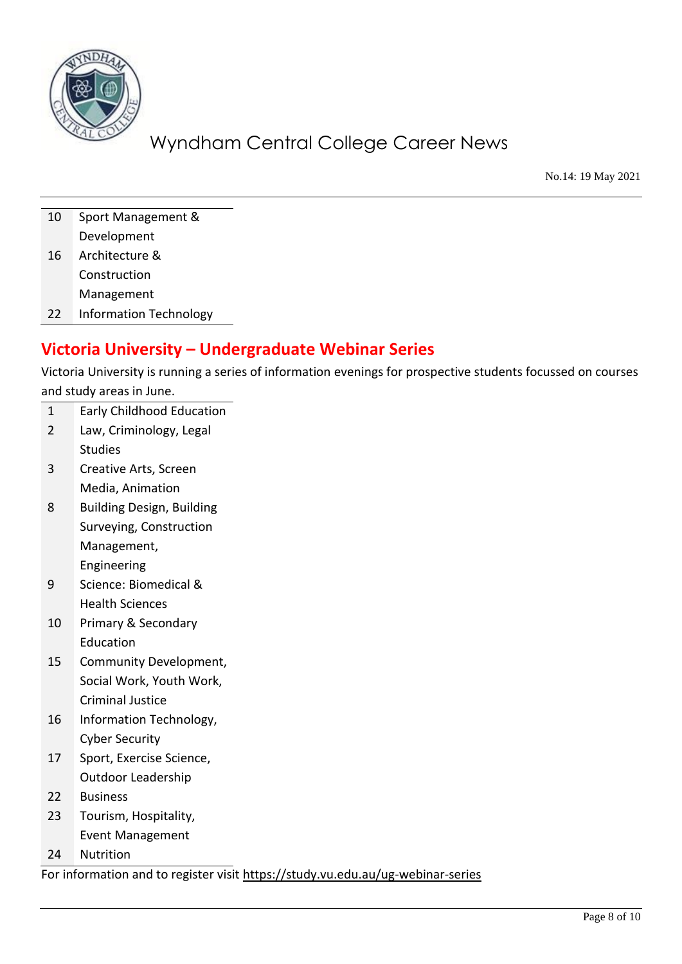

No.14: 19 May 2021

10 Sport Management & Development 16 Architecture & **Construction** Management

22 Information Technology

## **Victoria University – Undergraduate Webinar Series**

Victoria University is running a series of information evenings for prospective students focussed on courses and study areas in June.

- 1 Early Childhood Education
- 2 Law, Criminology, Legal Studies
- 3 Creative Arts, Screen Media, Animation
- 8 Building Design, Building Surveying, Construction Management, Engineering
- 9 Science: Biomedical & Health Sciences
- 10 Primary & Secondary Education
- 15 Community Development, Social Work, Youth Work, Criminal Justice
- 16 Information Technology, Cyber Security
- 17 Sport, Exercise Science, Outdoor Leadership
- 22 Business
- 23 Tourism, Hospitality, Event Management
- 24 Nutrition

For information and to register visit <https://study.vu.edu.au/ug-webinar-series>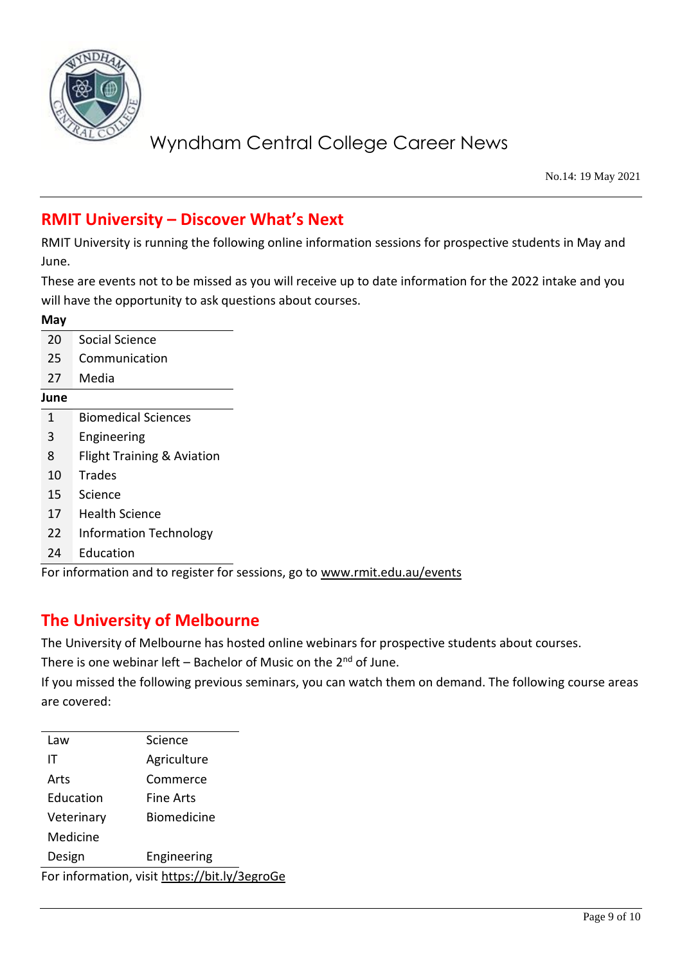

No.14: 19 May 2021

## **RMIT University – Discover What's Next**

RMIT University is running the following online information sessions for prospective students in May and June.

These are events not to be missed as you will receive up to date information for the 2022 intake and you will have the opportunity to ask questions about courses.

| May  |                                       |
|------|---------------------------------------|
| 20   | Social Science                        |
| 25   | Communication                         |
| 27   | Media                                 |
| June |                                       |
| 1    | <b>Biomedical Sciences</b>            |
| 3    | Engineering                           |
| 8    | <b>Flight Training &amp; Aviation</b> |
| 10   | <b>Trades</b>                         |
| 15   | Science                               |
| 17   | <b>Health Science</b>                 |
| 22   | <b>Information Technology</b>         |
| 24   | Education                             |
|      |                                       |

For information and to register for sessions, go to [www.rmit.edu.au/events](http://www.rmit.edu.au/events)

## **The University of Melbourne**

The University of Melbourne has hosted online webinars for prospective students about courses.

There is one webinar left – Bachelor of Music on the  $2^{nd}$  of June.

If you missed the following previous seminars, you can watch them on demand. The following course areas are covered:

| Law        | Science                                       |
|------------|-----------------------------------------------|
| ΙT         | Agriculture                                   |
| Arts       | Commerce                                      |
| Education  | Fine Arts                                     |
| Veterinary | Biomedicine                                   |
| Medicine   |                                               |
| Design     | Engineering                                   |
|            | For information, visit https://bit.ly/3egroGe |